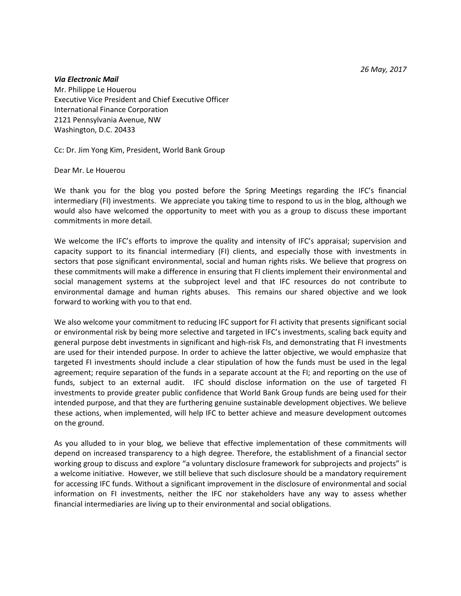*26 May, 2017*

## *Via Electronic Mail*

Mr. Philippe Le Houerou Executive Vice President and Chief Executive Officer International Finance Corporation 2121 Pennsylvania Avenue, NW Washington, D.C. 20433

Cc: Dr. Jim Yong Kim, President, World Bank Group

Dear Mr. Le Houerou

We thank you for the blog you posted before the Spring Meetings regarding the IFC's financial intermediary (FI) investments. We appreciate you taking time to respond to us in the blog, although we would also have welcomed the opportunity to meet with you as a group to discuss these important commitments in more detail.

We welcome the IFC's efforts to improve the quality and intensity of IFC's appraisal; supervision and capacity support to its financial intermediary (FI) clients, and especially those with investments in sectors that pose significant environmental, social and human rights risks. We believe that progress on these commitments will make a difference in ensuring that FI clients implement their environmental and social management systems at the subproject level and that IFC resources do not contribute to environmental damage and human rights abuses. This remains our shared objective and we look forward to working with you to that end.

We also welcome your commitment to reducing IFC support for FI activity that presents significant social or environmental risk by being more selective and targeted in IFC's investments, scaling back equity and general purpose debt investments in significant and high-risk FIs, and demonstrating that FI investments are used for their intended purpose. In order to achieve the latter objective, we would emphasize that targeted FI investments should include a clear stipulation of how the funds must be used in the legal agreement; require separation of the funds in a separate account at the FI; and reporting on the use of funds, subject to an external audit. IFC should disclose information on the use of targeted FI investments to provide greater public confidence that World Bank Group funds are being used for their intended purpose, and that they are furthering genuine sustainable development objectives. We believe these actions, when implemented, will help IFC to better achieve and measure development outcomes on the ground.

As you alluded to in your blog, we believe that effective implementation of these commitments will depend on increased transparency to a high degree. Therefore, the establishment of a financial sector working group to discuss and explore "a voluntary disclosure framework for subprojects and projects" is a welcome initiative. However, we still believe that such disclosure should be a mandatory requirement for accessing IFC funds. Without a significant improvement in the disclosure of environmental and social information on FI investments, neither the IFC nor stakeholders have any way to assess whether financial intermediaries are living up to their environmental and social obligations.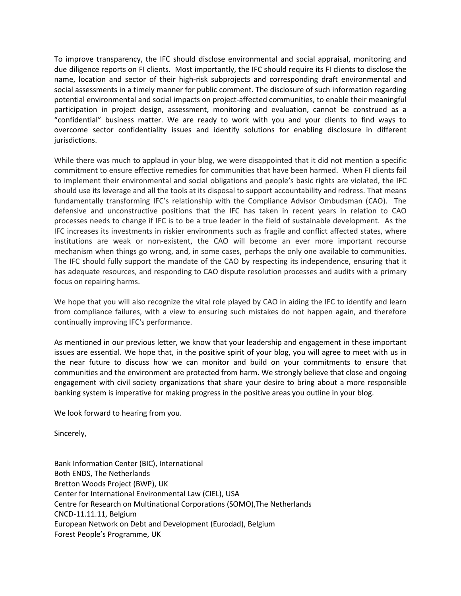To improve transparency, the IFC should disclose environmental and social appraisal, monitoring and due diligence reports on FI clients. Most importantly, the IFC should require its FI clients to disclose the name, location and sector of their high-risk subprojects and corresponding draft environmental and social assessments in a timely manner for public comment. The disclosure of such information regarding potential environmental and social impacts on project-affected communities, to enable their meaningful participation in project design, assessment, monitoring and evaluation, cannot be construed as a "confidential" business matter. We are ready to work with you and your clients to find ways to overcome sector confidentiality issues and identify solutions for enabling disclosure in different jurisdictions.

While there was much to applaud in your blog, we were disappointed that it did not mention a specific commitment to ensure effective remedies for communities that have been harmed. When FI clients fail to implement their environmental and social obligations and people's basic rights are violated, the IFC should use its leverage and all the tools at its disposal to support accountability and redress. That means fundamentally transforming IFC's relationship with the Compliance Advisor Ombudsman (CAO). The defensive and unconstructive positions that the IFC has taken in recent years in relation to CAO processes needs to change if IFC is to be a true leader in the field of sustainable development. As the IFC increases its investments in riskier environments such as fragile and conflict affected states, where institutions are weak or non-existent, the CAO will become an ever more important recourse mechanism when things go wrong, and, in some cases, perhaps the only one available to communities. The IFC should fully support the mandate of the CAO by respecting its independence, ensuring that it has adequate resources, and responding to CAO dispute resolution processes and audits with a primary focus on repairing harms.

We hope that you will also recognize the vital role played by CAO in aiding the IFC to identify and learn from compliance failures, with a view to ensuring such mistakes do not happen again, and therefore continually improving IFC's performance.

As mentioned in our previous letter, we know that your leadership and engagement in these important issues are essential. We hope that, in the positive spirit of your blog, you will agree to meet with us in the near future to discuss how we can monitor and build on your commitments to ensure that communities and the environment are protected from harm. We strongly believe that close and ongoing engagement with civil society organizations that share your desire to bring about a more responsible banking system is imperative for making progress in the positive areas you outline in your blog.

We look forward to hearing from you.

Sincerely,

Bank Information Center (BIC), International Both ENDS, The Netherlands Bretton Woods Project (BWP), UK Center for International Environmental Law (CIEL), USA Centre for Research on Multinational Corporations (SOMO),The Netherlands CNCD-11.11.11, Belgium European Network on Debt and Development (Eurodad), Belgium Forest People's Programme, UK